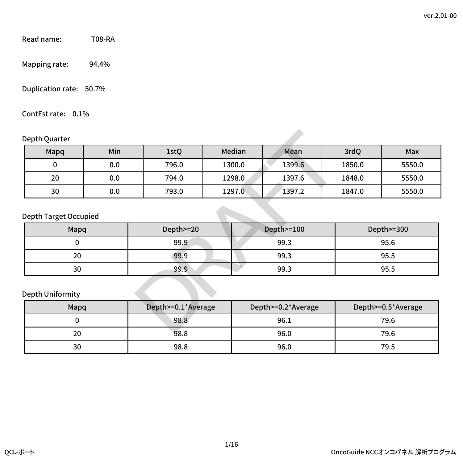Read name: T08-RA

Mapping rate: 94.4%

Duplication rate: 50.7%

ContEst rate: 0.1%

### Depth Quarter

| Depth Quarter                |                            |           |        |                    |        |                    |  |
|------------------------------|----------------------------|-----------|--------|--------------------|--------|--------------------|--|
| Mapq                         | Min                        | 1stQ      | Median | Mean               | 3rdQ   | Max                |  |
| 0                            | 0.0                        | 796.0     | 1300.0 | 1399.6             | 1850.0 | 5550.0             |  |
| 20                           | 0.0                        | 794.0     | 1298.0 | 1397.6             | 1848.0 | 5550.0             |  |
| 30                           | 0.0                        | 793.0     | 1297.0 | 1397.2             | 1847.0 | 5550.0             |  |
| <b>Depth Target Occupied</b> |                            |           |        |                    |        |                    |  |
| Mapq                         |                            | Depth>=20 |        | Depth>=100         |        | Depth>=300         |  |
|                              | 99.3<br>0<br>99.9          |           |        |                    | 95.6   |                    |  |
| 20                           |                            | 99.9      |        | 99.3               |        | 95.5               |  |
| 30                           |                            | 99.9      | 99.3   |                    |        | 95.5               |  |
| Depth Uniformity             |                            |           |        |                    |        |                    |  |
|                              | Depth>=0.1*Average<br>Mapq |           |        | Depth>=0.2*Average |        | Depth>=0.5*Average |  |
| 0                            |                            | 98.8      |        | 96.1               |        | 79.6               |  |
| ገበ                           |                            | 000       |        | AC <sub>n</sub>    |        | 70c                |  |

### Depth Target Occupied

| Mapq | Depth>=20 | Depth>=100 | Depth>=300 |
|------|-----------|------------|------------|
|      | 99.9      | 99.3       | 95.6       |
| 20   | 99.9      | 99.3       | 95.5       |
| 30   | 99.9      | 99.3       | 95.5       |

### Depth Uniformity

| Mapq | Depth>=0.1*Average | Depth>=0.2*Average | Depth>=0.5*Average |  |
|------|--------------------|--------------------|--------------------|--|
|      | 98.8               | 96.1               | 79.6               |  |
| 20   | 98.8               | 96.0               | 79.6               |  |
| 30   | 98.8               | 96.0               | 79.5               |  |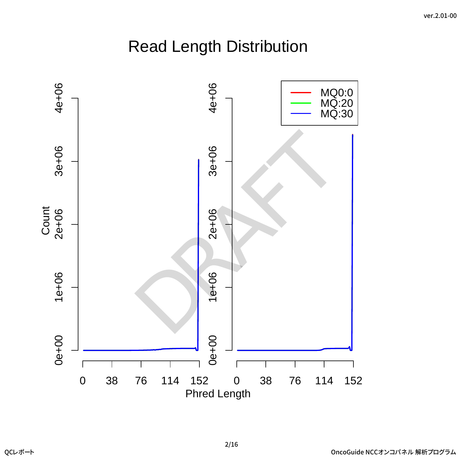# Read Length Distribution

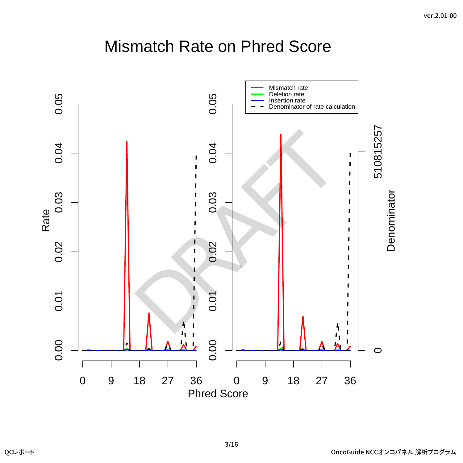## Mismatch Rate on Phred Score

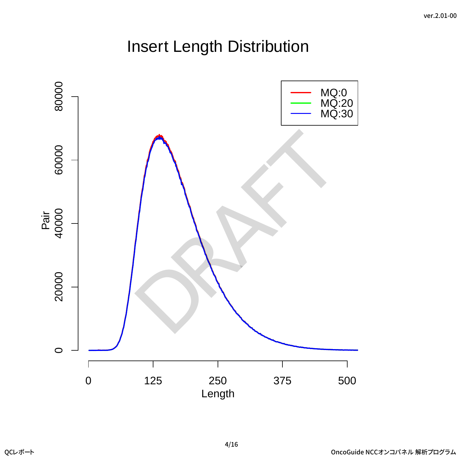# Insert Length Distribution

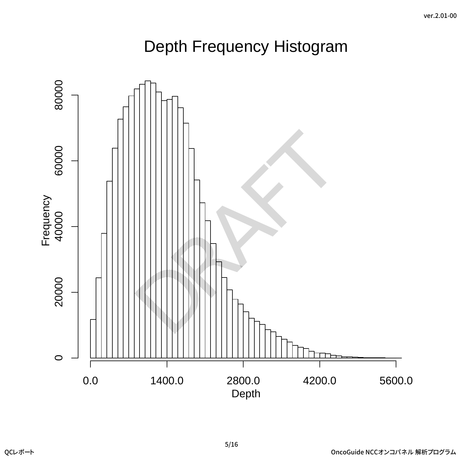# Depth Frequency Histogram

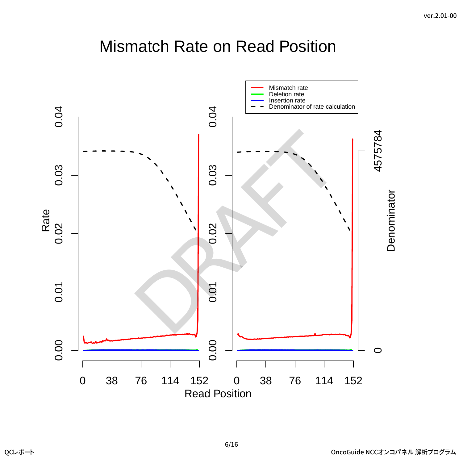## Mismatch Rate on Read Position

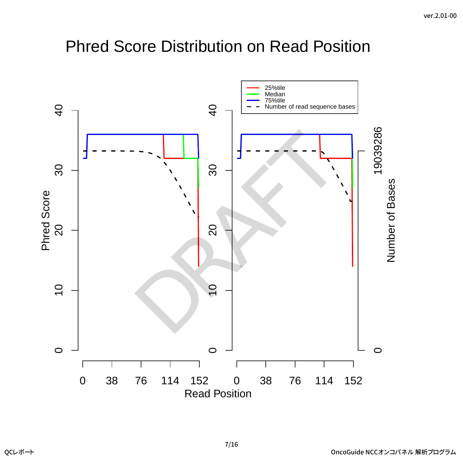## Phred Score Distribution on Read Position

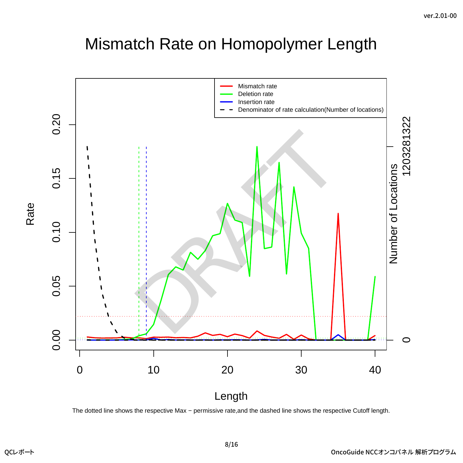## Mismatch Rate on Homopolymer Length



The dotted line shows the respective Max – permissive rate, and the dashed line shows the respective Cutoff length.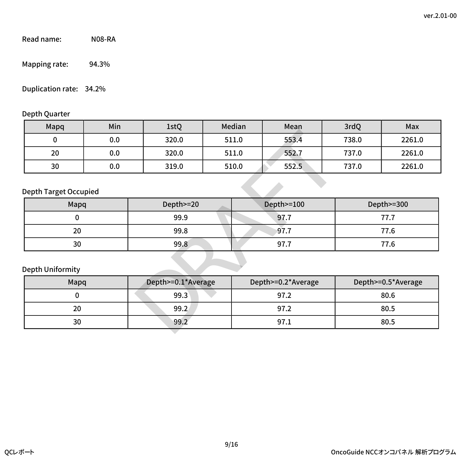Read name: N08-RA

Mapping rate: 94.3%

### Duplication rate: 34.2%

### Depth Quarter

| Mapq | Min | 1stQ  | Median | Mean  | 3rdQ  | Max    |
|------|-----|-------|--------|-------|-------|--------|
|      | 0.0 | 320.0 | 511.0  | 553.4 | 738.0 | 2261.0 |
| 20   | 0.0 | 320.0 | 511.0  | 552.7 | 737.0 | 2261.0 |
| 30   | 0.0 | 319.0 | 510.0  | 552.5 | 737.0 | 2261.0 |

### Depth Target Occupied

| Mapq | Depth>=20 | Depth>=100 | Depth>=300 |
|------|-----------|------------|------------|
|      | 99.9      | 97.7       |            |
| 20   | 99.8      | 97.7       | 77.6       |
| 30   | 99.8      | 97.7       | 77.6       |

### Depth Uniformity

| Mapq                         | Min  | 1stQ               |       | Median<br>Mean     |       | 3rdQ  | Max                |  |
|------------------------------|------|--------------------|-------|--------------------|-------|-------|--------------------|--|
| 0                            | 0.0  | 320.0              | 511.0 |                    | 553.4 | 738.0 | 2261.0             |  |
| 20                           | 0.0  | 320.0              |       | 511.0              | 552.7 | 737.0 | 2261.0             |  |
| 30                           | 0.0  | 319.0              |       | 510.0              | 552.5 | 737.0 | 2261.0             |  |
| <b>Depth Target Occupied</b> |      |                    |       |                    |       |       |                    |  |
| Mapq                         |      | Depth>=20          |       | Depth>=100         |       |       | Depth>=300         |  |
| 0                            | 99.9 |                    | 97.7  |                    |       | 77.7  |                    |  |
| 20<br>99.8<br>97.7           |      |                    | 77.6  |                    |       |       |                    |  |
| 30                           |      | 99.8               |       | 97.7               |       |       | 77.6               |  |
| Depth Uniformity             |      |                    |       |                    |       |       |                    |  |
| Mapq                         |      | Depth>=0.1*Average |       | Depth>=0.2*Average |       |       | Depth>=0.5*Average |  |
| 0                            | 99.3 |                    | 97.2  |                    |       | 80.6  |                    |  |
| 20                           |      | 99.2               |       |                    | 97.2  |       | 80.5               |  |
| 30                           |      | 99.2               |       |                    | 97.1  |       | 80.5               |  |
|                              |      |                    |       |                    |       |       |                    |  |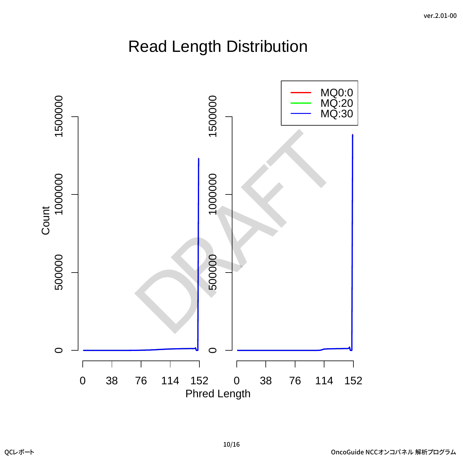# Read Length Distribution

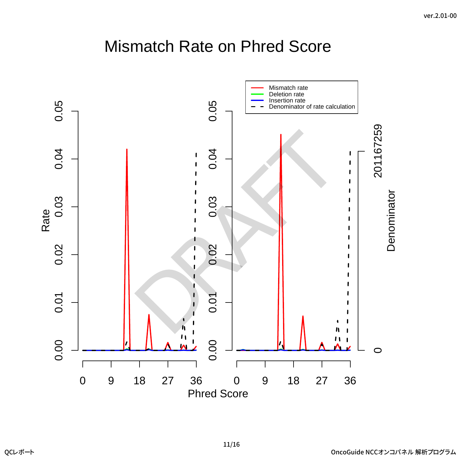## Mismatch Rate on Phred Score



11/16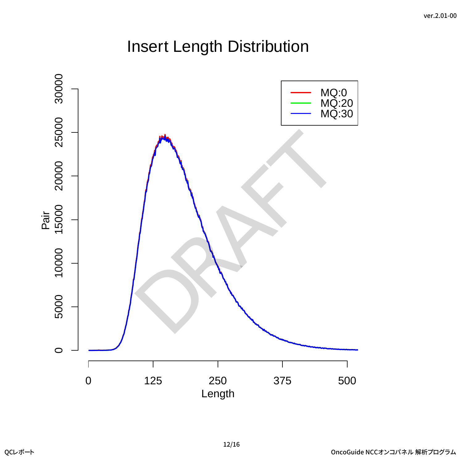# Insert Length Distribution

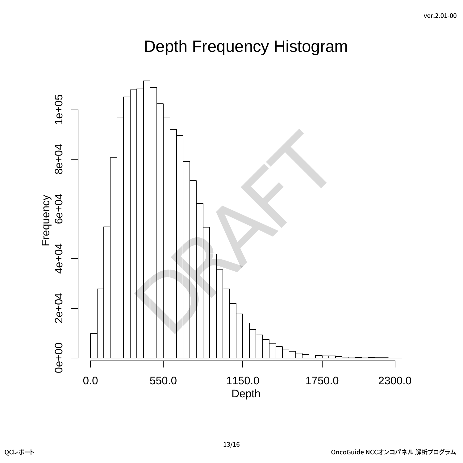# Depth Frequency Histogram

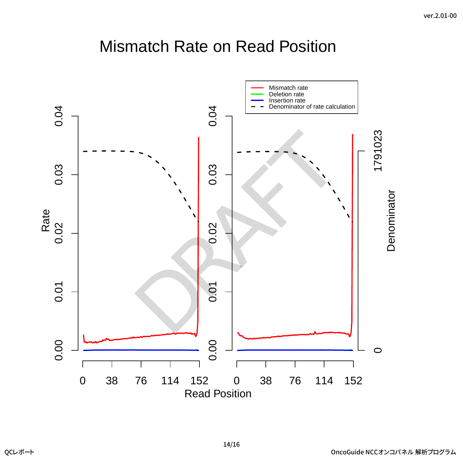## Mismatch Rate on Read Position

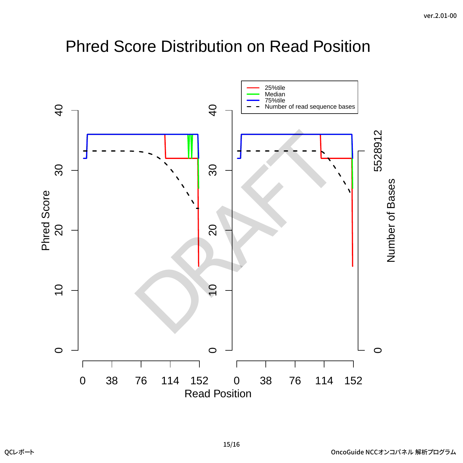## Phred Score Distribution on Read Position